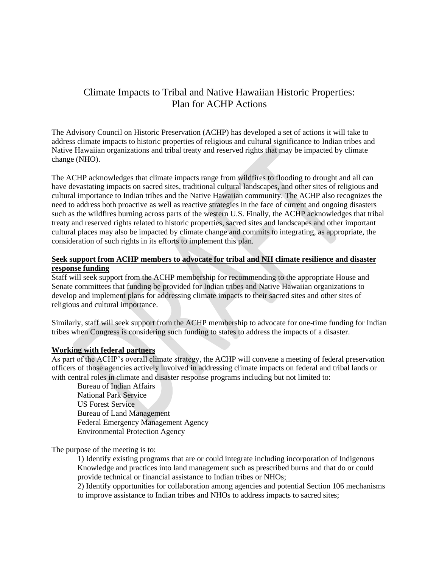# Climate Impacts to Tribal and Native Hawaiian Historic Properties: Plan for ACHP Actions

The Advisory Council on Historic Preservation (ACHP) has developed a set of actions it will take to address climate impacts to historic properties of religious and cultural significance to Indian tribes and Native Hawaiian organizations and tribal treaty and reserved rights that may be impacted by climate change (NHO).

The ACHP acknowledges that climate impacts range from wildfires to flooding to drought and all can have devastating impacts on sacred sites, traditional cultural landscapes, and other sites of religious and cultural importance to Indian tribes and the Native Hawaiian community. The ACHP also recognizes the need to address both proactive as well as reactive strategies in the face of current and ongoing disasters such as the wildfires burning across parts of the western U.S. Finally, the ACHP acknowledges that tribal treaty and reserved rights related to historic properties, sacred sites and landscapes and other important cultural places may also be impacted by climate change and commits to integrating, as appropriate, the consideration of such rights in its efforts to implement this plan.

### **Seek support from ACHP members to advocate for tribal and NH climate resilience and disaster response funding**

Staff will seek support from the ACHP membership for recommending to the appropriate House and Senate committees that funding be provided for Indian tribes and Native Hawaiian organizations to develop and implement plans for addressing climate impacts to their sacred sites and other sites of religious and cultural importance.

Similarly, staff will seek support from the ACHP membership to advocate for one-time funding for Indian tribes when Congress is considering such funding to states to address the impacts of a disaster.

### **Working with federal partners**

As part of the ACHP's overall climate strategy, the ACHP will convene a meeting of federal preservation officers of those agencies actively involved in addressing climate impacts on federal and tribal lands or with central roles in climate and disaster response programs including but not limited to:

Bureau of Indian Affairs National Park Service US Forest Service Bureau of Land Management Federal Emergency Management Agency Environmental Protection Agency

The purpose of the meeting is to:

1) Identify existing programs that are or could integrate including incorporation of Indigenous Knowledge and practices into land management such as prescribed burns and that do or could provide technical or financial assistance to Indian tribes or NHOs;

2) Identify opportunities for collaboration among agencies and potential Section 106 mechanisms to improve assistance to Indian tribes and NHOs to address impacts to sacred sites;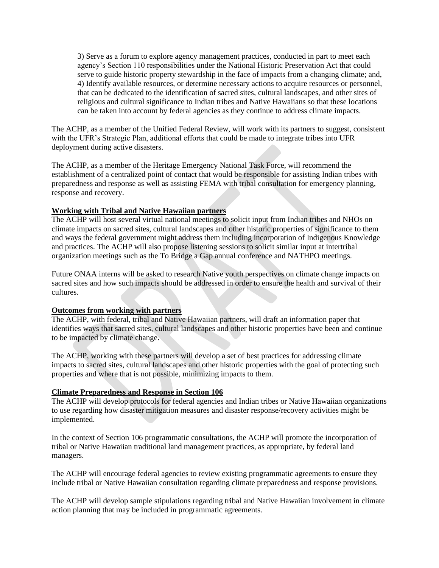3) Serve as a forum to explore agency management practices, conducted in part to meet each agency's Section 110 responsibilities under the National Historic Preservation Act that could serve to guide historic property stewardship in the face of impacts from a changing climate; and, 4) Identify available resources, or determine necessary actions to acquire resources or personnel, that can be dedicated to the identification of sacred sites, cultural landscapes, and other sites of religious and cultural significance to Indian tribes and Native Hawaiians so that these locations can be taken into account by federal agencies as they continue to address climate impacts.

The ACHP, as a member of the Unified Federal Review, will work with its partners to suggest, consistent with the UFR's Strategic Plan, additional efforts that could be made to integrate tribes into UFR deployment during active disasters.

The ACHP, as a member of the Heritage Emergency National Task Force, will recommend the establishment of a centralized point of contact that would be responsible for assisting Indian tribes with preparedness and response as well as assisting FEMA with tribal consultation for emergency planning, response and recovery.

### **Working with Tribal and Native Hawaiian partners**

The ACHP will host several virtual national meetings to solicit input from Indian tribes and NHOs on climate impacts on sacred sites, cultural landscapes and other historic properties of significance to them and ways the federal government might address them including incorporation of Indigenous Knowledge and practices. The ACHP will also propose listening sessions to solicit similar input at intertribal organization meetings such as the To Bridge a Gap annual conference and NATHPO meetings.

Future ONAA interns will be asked to research Native youth perspectives on climate change impacts on sacred sites and how such impacts should be addressed in order to ensure the health and survival of their cultures.

#### **Outcomes from working with partners**

The ACHP, with federal, tribal and Native Hawaiian partners, will draft an information paper that identifies ways that sacred sites, cultural landscapes and other historic properties have been and continue to be impacted by climate change.

The ACHP, working with these partners will develop a set of best practices for addressing climate impacts to sacred sites, cultural landscapes and other historic properties with the goal of protecting such properties and where that is not possible, minimizing impacts to them.

## **Climate Preparedness and Response in Section 106**

The ACHP will develop protocols for federal agencies and Indian tribes or Native Hawaiian organizations to use regarding how disaster mitigation measures and disaster response/recovery activities might be implemented.

In the context of Section 106 programmatic consultations, the ACHP will promote the incorporation of tribal or Native Hawaiian traditional land management practices, as appropriate, by federal land managers.

The ACHP will encourage federal agencies to review existing programmatic agreements to ensure they include tribal or Native Hawaiian consultation regarding climate preparedness and response provisions.

The ACHP will develop sample stipulations regarding tribal and Native Hawaiian involvement in climate action planning that may be included in programmatic agreements.